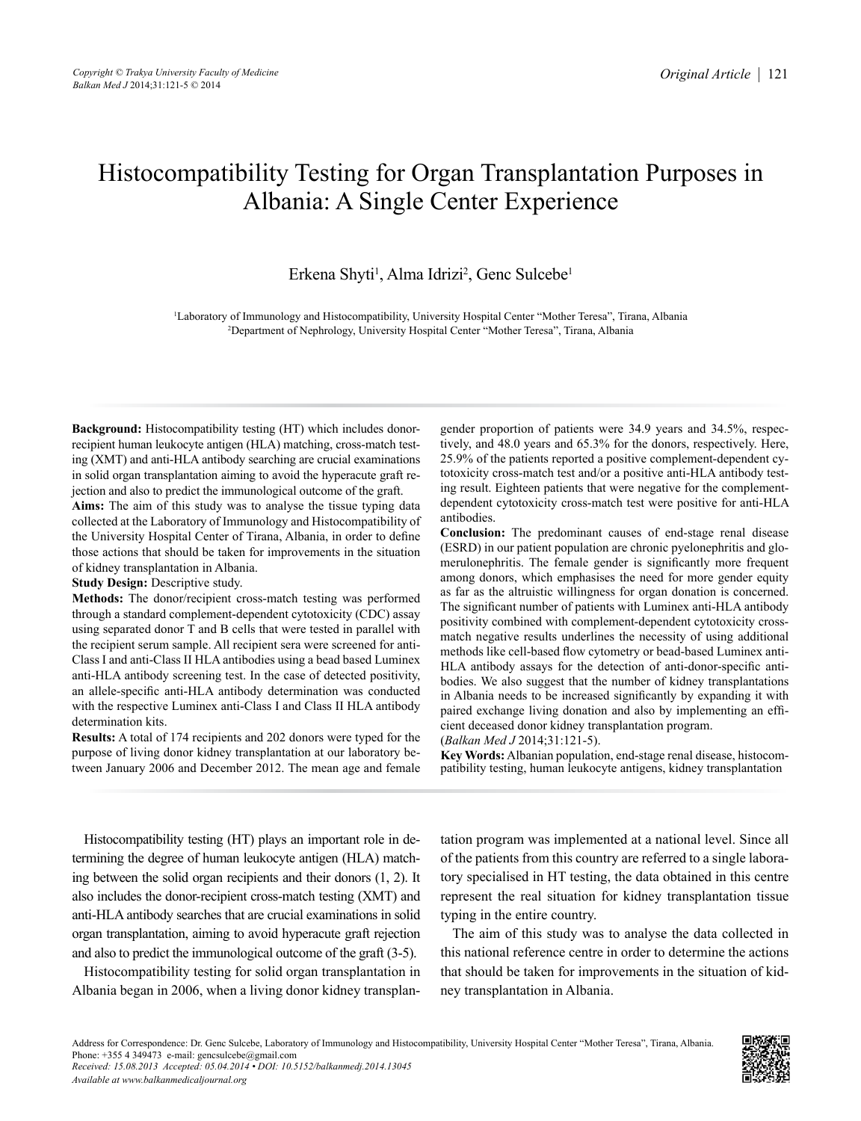# Histocompatibility Testing for Organ Transplantation Purposes in Albania: A Single Center Experience

# Erkena Shyti<sup>1</sup>, Alma Idrizi<sup>2</sup>, Genc Sulcebe<sup>1</sup>

1 Laboratory of Immunology and Histocompatibility, University Hospital Center "Mother Teresa", Tirana, Albania 2 Department of Nephrology, University Hospital Center "Mother Teresa", Tirana, Albania

**Background:** Histocompatibility testing (HT) which includes donorrecipient human leukocyte antigen (HLA) matching, cross-match testing (XMT) and anti-HLA antibody searching are crucial examinations in solid organ transplantation aiming to avoid the hyperacute graft rejection and also to predict the immunological outcome of the graft.

**Aims:** The aim of this study was to analyse the tissue typing data collected at the Laboratory of Immunology and Histocompatibility of the University Hospital Center of Tirana, Albania, in order to define those actions that should be taken for improvements in the situation of kidney transplantation in Albania.

**Study Design:** Descriptive study.

*Available at www.balkanmedicaljournal.org* 

**Methods:** The donor/recipient cross-match testing was performed through a standard complement-dependent cytotoxicity (CDC) assay using separated donor T and B cells that were tested in parallel with the recipient serum sample. All recipient sera were screened for anti-Class I and anti-Class II HLA antibodies using a bead based Luminex anti-HLA antibody screening test. In the case of detected positivity, an allele-specific anti-HLA antibody determination was conducted with the respective Luminex anti-Class I and Class II HLA antibody determination kits.

**Results:** A total of 174 recipients and 202 donors were typed for the purpose of living donor kidney transplantation at our laboratory between January 2006 and December 2012. The mean age and female gender proportion of patients were 34.9 years and 34.5%, respectively, and 48.0 years and 65.3% for the donors, respectively. Here, 25.9% of the patients reported a positive complement-dependent cytotoxicity cross-match test and/or a positive anti-HLA antibody testing result. Eighteen patients that were negative for the complementdependent cytotoxicity cross-match test were positive for anti-HLA antibodies.

**Conclusion:** The predominant causes of end-stage renal disease (ESRD) in our patient population are chronic pyelonephritis and glomerulonephritis. The female gender is significantly more frequent among donors, which emphasises the need for more gender equity as far as the altruistic willingness for organ donation is concerned. The significant number of patients with Luminex anti-HLA antibody positivity combined with complement-dependent cytotoxicity crossmatch negative results underlines the necessity of using additional methods like cell-based flow cytometry or bead-based Luminex anti-HLA antibody assays for the detection of anti-donor-specific antibodies. We also suggest that the number of kidney transplantations in Albania needs to be increased significantly by expanding it with paired exchange living donation and also by implementing an efficient deceased donor kidney transplantation program.

(*Balkan Med J* 2014;31:121-5).

**Key Words:** Albanian population, end-stage renal disease, histocompatibility testing, human leukocyte antigens, kidney transplantation

Histocompatibility testing (HT) plays an important role in determining the degree of human leukocyte antigen (HLA) matching between the solid organ recipients and their donors (1, 2). It also includes the donor-recipient cross-match testing (XMT) and anti-HLA antibody searches that are crucial examinations in solid organ transplantation, aiming to avoid hyperacute graft rejection and also to predict the immunological outcome of the graft (3-5).

Histocompatibility testing for solid organ transplantation in Albania began in 2006, when a living donor kidney transplantation program was implemented at a national level. Since all of the patients from this country are referred to a single laboratory specialised in HT testing, the data obtained in this centre represent the real situation for kidney transplantation tissue typing in the entire country.

The aim of this study was to analyse the data collected in this national reference centre in order to determine the actions that should be taken for improvements in the situation of kidney transplantation in Albania.

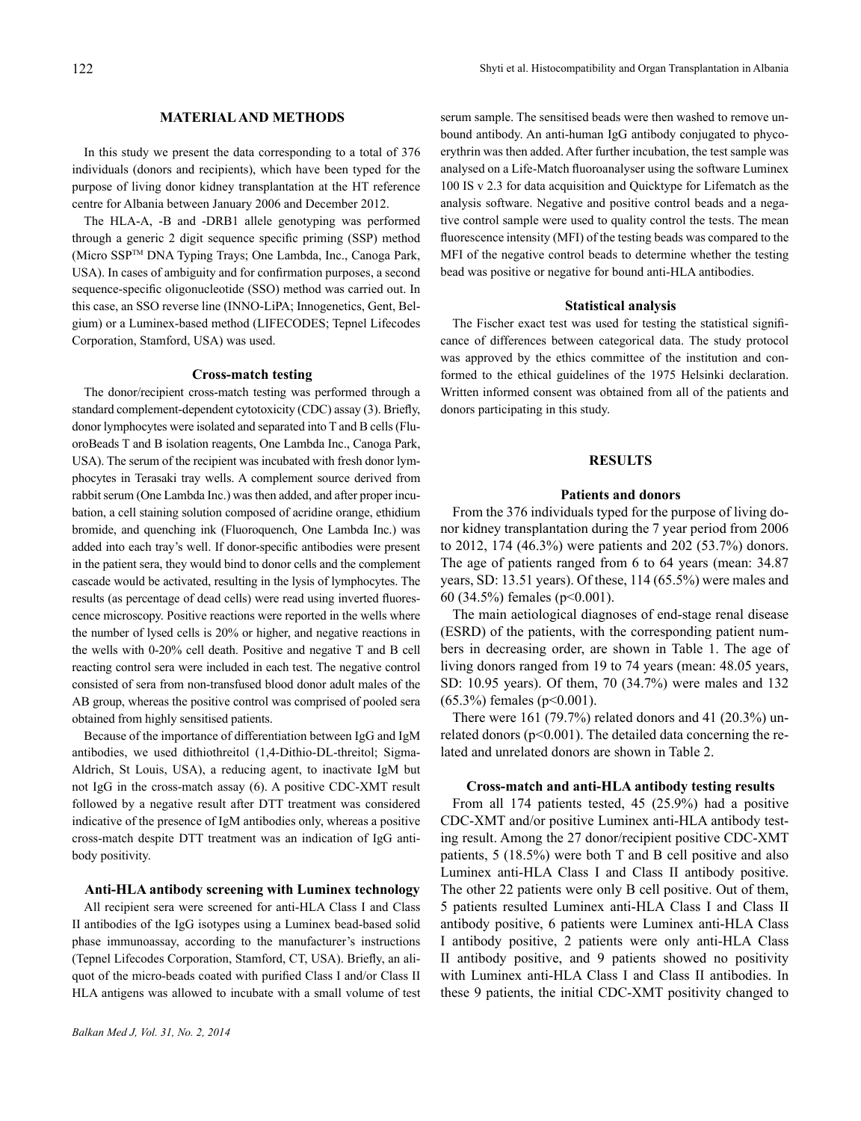#### **MATERIAL AND METHODS**

In this study we present the data corresponding to a total of 376 individuals (donors and recipients), which have been typed for the purpose of living donor kidney transplantation at the HT reference centre for Albania between January 2006 and December 2012.

The HLA-A, -B and -DRB1 allele genotyping was performed through a generic 2 digit sequence specific priming (SSP) method (Micro SSPTM DNA Typing Trays; One Lambda, Inc., Canoga Park, USA). In cases of ambiguity and for confirmation purposes, a second sequence-specific oligonucleotide (SSO) method was carried out. In this case, an SSO reverse line (INNO-LiPA; Innogenetics, Gent, Belgium) or a Luminex-based method (LIFECODES; Tepnel Lifecodes Corporation, Stamford, USA) was used.

#### **Cross-match testing**

The donor/recipient cross-match testing was performed through a standard complement-dependent cytotoxicity (CDC) assay (3). Briefly, donor lymphocytes were isolated and separated into T and B cells(FluoroBeads T and B isolation reagents, One Lambda Inc., Canoga Park, USA). The serum of the recipient was incubated with fresh donor lymphocytes in Terasaki tray wells. A complement source derived from rabbit serum (One Lambda Inc.) was then added, and after proper incubation, a cell staining solution composed of acridine orange, ethidium bromide, and quenching ink (Fluoroquench, One Lambda Inc.) was added into each tray's well. If donor-specific antibodies were present in the patient sera, they would bind to donor cells and the complement cascade would be activated, resulting in the lysis of lymphocytes. The results (as percentage of dead cells) were read using inverted fluorescence microscopy. Positive reactions were reported in the wells where the number of lysed cells is 20% or higher, and negative reactions in the wells with 0-20% cell death. Positive and negative T and B cell reacting control sera were included in each test. The negative control consisted of sera from non-transfused blood donor adult males of the AB group, whereas the positive control was comprised of pooled sera obtained from highly sensitised patients.

Because of the importance of differentiation between IgG and IgM antibodies, we used dithiothreitol (1,4-Dithio-DL-threitol; Sigma-Aldrich, St Louis, USA), a reducing agent, to inactivate IgM but not IgG in the cross-match assay (6). A positive CDC-XMT result followed by a negative result after DTT treatment was considered indicative of the presence of IgM antibodies only, whereas a positive cross-match despite DTT treatment was an indication of IgG antibody positivity.

#### **Anti-HLA antibody screening with Luminex technology**

All recipient sera were screened for anti-HLA Class I and Class II antibodies of the IgG isotypes using a Luminex bead-based solid phase immunoassay, according to the manufacturer's instructions (Tepnel Lifecodes Corporation, Stamford, CT, USA). Briefly, an aliquot of the micro-beads coated with purified Class I and/or Class II HLA antigens was allowed to incubate with a small volume of test serum sample. The sensitised beads were then washed to remove unbound antibody. An anti-human IgG antibody conjugated to phycoerythrin was then added. After further incubation, the test sample was analysed on a Life-Match fluoroanalyser using the software Luminex 100 IS v 2.3 for data acquisition and Quicktype for Lifematch as the analysis software. Negative and positive control beads and a negative control sample were used to quality control the tests. The mean fluorescence intensity (MFI) of the testing beads was compared to the MFI of the negative control beads to determine whether the testing bead was positive or negative for bound anti-HLA antibodies.

#### **Statistical analysis**

The Fischer exact test was used for testing the statistical significance of differences between categorical data. The study protocol was approved by the ethics committee of the institution and conformed to the ethical guidelines of the 1975 Helsinki declaration. Written informed consent was obtained from all of the patients and donors participating in this study.

#### **RESULTS**

## **Patients and donors**

From the 376 individuals typed for the purpose of living donor kidney transplantation during the 7 year period from 2006 to 2012, 174 (46.3%) were patients and 202 (53.7%) donors. The age of patients ranged from 6 to 64 years (mean: 34.87 years, SD: 13.51 years). Of these, 114 (65.5%) were males and 60 (34.5%) females (p<0.001).

The main aetiological diagnoses of end-stage renal disease (ESRD) of the patients, with the corresponding patient numbers in decreasing order, are shown in Table 1. The age of living donors ranged from 19 to 74 years (mean: 48.05 years, SD: 10.95 years). Of them, 70 (34.7%) were males and 132 (65.3%) females (p<0.001).

There were 161 (79.7%) related donors and 41 (20.3%) unrelated donors ( $p<0.001$ ). The detailed data concerning the related and unrelated donors are shown in Table 2.

#### **Cross-match and anti-HLA antibody testing results**

From all 174 patients tested, 45 (25.9%) had a positive CDC-XMT and/or positive Luminex anti-HLA antibody testing result. Among the 27 donor/recipient positive CDC-XMT patients, 5 (18.5%) were both T and B cell positive and also Luminex anti-HLA Class I and Class II antibody positive. The other 22 patients were only B cell positive. Out of them, 5 patients resulted Luminex anti-HLA Class I and Class II antibody positive, 6 patients were Luminex anti-HLA Class I antibody positive, 2 patients were only anti-HLA Class II antibody positive, and 9 patients showed no positivity with Luminex anti-HLA Class I and Class II antibodies. In these 9 patients, the initial CDC-XMT positivity changed to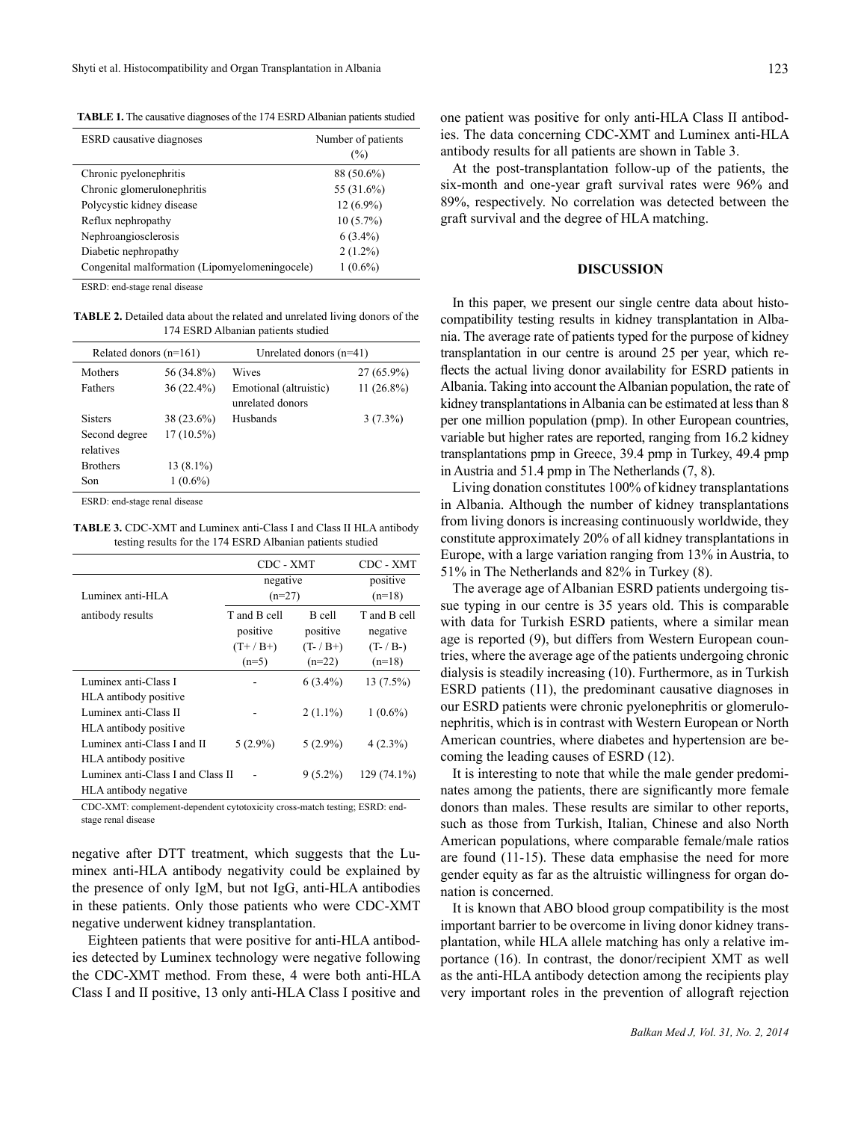**TABLE 1.** The causative diagnoses of the 174 ESRD Albanian patients studied

| <b>ESRD</b> causative diagnoses                | Number of patients<br>$(\%)$ |
|------------------------------------------------|------------------------------|
| Chronic pyelonephritis                         | 88 (50.6%)                   |
| Chronic glomerulonephritis                     | 55 (31.6%)                   |
| Polycystic kidney disease                      | $12(6.9\%)$                  |
| Reflux nephropathy                             | $10(5.7\%)$                  |
| Nephroangiosclerosis                           | $6(3.4\%)$                   |
| Diabetic nephropathy                           | $2(1.2\%)$                   |
| Congenital malformation (Lipomyelomeningocele) | $1(0.6\%)$                   |

ESRD: end-stage renal disease

**TABLE 2.** Detailed data about the related and unrelated living donors of the 174 ESRD Albanian patients studied

| Related donors $(n=161)$                                                   |              | Unrelated donors $(n=41)$                  |              |  |
|----------------------------------------------------------------------------|--------------|--------------------------------------------|--------------|--|
| Mothers                                                                    | 56 (34.8%)   | Wives                                      | $27(65.9\%)$ |  |
| Fathers                                                                    | $36(22.4\%)$ | Emotional (altruistic)<br>unrelated donors | $11(26.8\%)$ |  |
| <b>Sisters</b>                                                             | 38 (23.6%)   | Husbands                                   | $3(7.3\%)$   |  |
| Second degree<br>relatives                                                 | $17(10.5\%)$ |                                            |              |  |
| <b>Brothers</b>                                                            | $13(8.1\%)$  |                                            |              |  |
| Son                                                                        | $1(0.6\%)$   |                                            |              |  |
| $FCDD_1 \rightarrow 1 \rightarrow \cdots \rightarrow \cdots \rightarrow 1$ |              |                                            |              |  |

ESRD: end-stage renal disease

**TABLE 3.** CDC-XMT and Luminex anti-Class I and Class II HLA antibody testing results for the 174 ESRD Albanian patients studied

|                                   | CDC - XMT    |              | CDC - XMT    |
|-----------------------------------|--------------|--------------|--------------|
|                                   | negative     |              | positive     |
| Luminex anti-HLA                  | $(n=27)$     |              | $(n=18)$     |
| antibody results                  | T and B cell | B cell       | T and B cell |
|                                   | positive     | positive     | negative     |
|                                   | $(T+ / B+ )$ | $(T- / B+ )$ | $(T - / B-)$ |
|                                   | $(n=5)$      | $(n=22)$     | $(n=18)$     |
| Luminex anti-Class I              |              | $6(3.4\%)$   | $13(7.5\%)$  |
| HLA antibody positive             |              |              |              |
| Luminex anti-Class II             |              | $2(1.1\%)$   | $1(0.6\%)$   |
| HLA antibody positive             |              |              |              |
| Luminex anti-Class I and II       | $5(2.9\%)$   | $5(2.9\%)$   | $4(2.3\%)$   |
| HLA antibody positive             |              |              |              |
| Luminex anti-Class I and Class II |              | $9(5.2\%)$   | 129 (74.1%)  |
| HLA antibody negative             |              |              |              |

CDC-XMT: complement-dependent cytotoxicity cross-match testing; ESRD: endstage renal disease

negative after DTT treatment, which suggests that the Luminex anti-HLA antibody negativity could be explained by the presence of only IgM, but not IgG, anti-HLA antibodies in these patients. Only those patients who were CDC-XMT negative underwent kidney transplantation.

 Eighteen patients that were positive for anti-HLA antibodies detected by Luminex technology were negative following the CDC-XMT method. From these, 4 were both anti-HLA Class I and II positive, 13 only anti-HLA Class I positive and

one patient was positive for only anti-HLA Class II antibodies. The data concerning CDC-XMT and Luminex anti-HLA antibody results for all patients are shown in Table 3.

At the post-transplantation follow-up of the patients, the six-month and one-year graft survival rates were 96% and 89%, respectively. No correlation was detected between the graft survival and the degree of HLA matching.

## **DISCUSSION**

In this paper, we present our single centre data about histocompatibility testing results in kidney transplantation in Albania. The average rate of patients typed for the purpose of kidney transplantation in our centre is around 25 per year, which reflects the actual living donor availability for ESRD patients in Albania. Taking into account the Albanian population, the rate of kidney transplantations in Albania can be estimated at less than 8 per one million population (pmp). In other European countries, variable but higher rates are reported, ranging from 16.2 kidney transplantations pmp in Greece, 39.4 pmp in Turkey, 49.4 pmp in Austria and 51.4 pmp in The Netherlands (7, 8).

Living donation constitutes 100% of kidney transplantations in Albania. Although the number of kidney transplantations from living donors is increasing continuously worldwide, they constitute approximately 20% of all kidney transplantations in Europe, with a large variation ranging from 13% in Austria, to 51% in The Netherlands and 82% in Turkey (8).

The average age of Albanian ESRD patients undergoing tissue typing in our centre is 35 years old. This is comparable with data for Turkish ESRD patients, where a similar mean age is reported (9), but differs from Western European countries, where the average age of the patients undergoing chronic dialysis is steadily increasing (10). Furthermore, as in Turkish ESRD patients (11), the predominant causative diagnoses in our ESRD patients were chronic pyelonephritis or glomerulonephritis, which is in contrast with Western European or North American countries, where diabetes and hypertension are becoming the leading causes of ESRD (12).

It is interesting to note that while the male gender predominates among the patients, there are significantly more female donors than males. These results are similar to other reports, such as those from Turkish, Italian, Chinese and also North American populations, where comparable female/male ratios are found (11-15). These data emphasise the need for more gender equity as far as the altruistic willingness for organ donation is concerned.

It is known that ABO blood group compatibility is the most important barrier to be overcome in living donor kidney transplantation, while HLA allele matching has only a relative importance (16). In contrast, the donor/recipient XMT as well as the anti-HLA antibody detection among the recipients play very important roles in the prevention of allograft rejection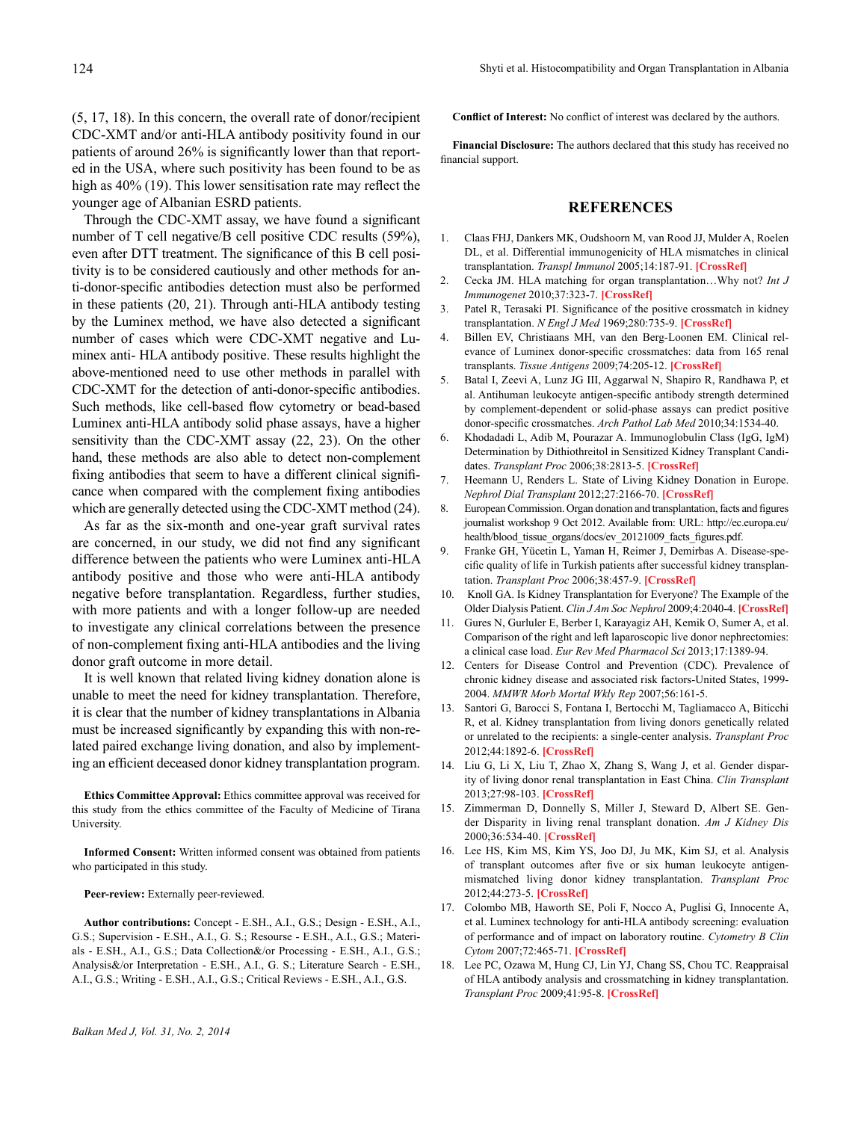(5, 17, 18). In this concern, the overall rate of donor/recipient CDC-XMT and/or anti-HLA antibody positivity found in our patients of around 26% is significantly lower than that reported in the USA, where such positivity has been found to be as high as  $40\%$  (19). This lower sensitisation rate may reflect the younger age of Albanian ESRD patients.

Through the CDC-XMT assay, we have found a significant number of T cell negative/B cell positive CDC results (59%), even after DTT treatment. The significance of this B cell positivity is to be considered cautiously and other methods for anti-donor-specific antibodies detection must also be performed in these patients (20, 21). Through anti-HLA antibody testing by the Luminex method, we have also detected a significant number of cases which were CDC-XMT negative and Luminex anti- HLA antibody positive. These results highlight the above-mentioned need to use other methods in parallel with CDC-XMT for the detection of anti-donor-specific antibodies. Such methods, like cell-based flow cytometry or bead-based Luminex anti-HLA antibody solid phase assays, have a higher sensitivity than the CDC-XMT assay (22, 23). On the other hand, these methods are also able to detect non-complement fixing antibodies that seem to have a different clinical significance when compared with the complement fixing antibodies which are generally detected using the CDC-XMT method (24).

As far as the six-month and one-year graft survival rates are concerned, in our study, we did not find any significant difference between the patients who were Luminex anti-HLA antibody positive and those who were anti-HLA antibody negative before transplantation. Regardless, further studies, with more patients and with a longer follow-up are needed to investigate any clinical correlations between the presence of non-complement fixing anti-HLA antibodies and the living donor graft outcome in more detail.

It is well known that related living kidney donation alone is unable to meet the need for kidney transplantation. Therefore, it is clear that the number of kidney transplantations in Albania must be increased significantly by expanding this with non-related paired exchange living donation, and also by implementing an efficient deceased donor kidney transplantation program.

**Ethics Committee Approval:** Ethics committee approval was received for this study from the ethics committee of the Faculty of Medicine of Tirana University.

**Informed Consent:** Written informed consent was obtained from patients who participated in this study.

#### **Peer-review:** Externally peer-reviewed.

**Author contributions:** Concept - E.SH., A.I., G.S.; Design - E.SH., A.I., G.S.; Supervision - E.SH., A.I., G. S.; Resourse - E.SH., A.I., G.S.; Materials - E.SH., A.I., G.S.; Data Collection&/or Processing - E.SH., A.I., G.S.; Analysis&/or Interpretation - E.SH., A.I., G. S.; Literature Search - E.SH., A.I., G.S.; Writing - E.SH., A.I., G.S.; Critical Reviews - E.SH., A.I., G.S.

**Conflict of Interest:** No conflict of interest was declared by the authors.

**Financial Disclosure:** The authors declared that this study has received no financial support.

#### **REFERENCES**

- 1. Claas FHJ, Dankers MK, Oudshoorn M, van Rood JJ, Mulder A, Roelen DL, et al. Differential immunogenicity of HLA mismatches in clinical transplantation. *Transpl Immunol* 2005;14:187-91. **[\[CrossRef\]](http://dx.doi.org/10.1016/j.trim.2005.03.007)**
- 2. Cecka JM. HLA matching for organ transplantation…Why not? *Int J Immunogenet* 2010;37:323-7. **[\[CrossRef\]](http://dx.doi.org/10.1111/j.1744-313X.2010.00957.x)**
- 3. Patel R, Terasaki PI. Significance of the positive crossmatch in kidney transplantation. *N Engl J Med* 1969;280:735-9. **[\[CrossRef\]](http://dx.doi.org/10.1056/NEJM196904032801401)**
- 4. Billen EV, Christiaans MH, van den Berg-Loonen EM. Clinical relevance of Luminex donor-specific crossmatches: data from 165 renal transplants. *Tissue Antigens* 2009;74:205-12. **[\[CrossRef\]](http://dx.doi.org/10.1111/j.1399-0039.2009.01283.x)**
- 5. Batal I, Zeevi A, Lunz JG III, Aggarwal N, Shapiro R, Randhawa P, et al. Antihuman leukocyte antigen-specific antibody strength determined by complement-dependent or solid-phase assays can predict positive donor-specific crossmatches. *Arch Pathol Lab Med* 2010;34:1534-40.
- 6. Khodadadi L, Adib M, Pourazar A. Immunoglobulin Class (IgG, IgM) Determination by Dithiothreitol in Sensitized Kidney Transplant Candidates. *Transplant Proc* 2006;38:2813-5. **[\[CrossRef\]](http://dx.doi.org/10.1016/j.transproceed.2006.08.168)**
- 7. Heemann U, Renders L. State of Living Kidney Donation in Europe. *Nephrol Dial Transplant* 2012;27:2166-70. **[\[CrossRef\]](http://dx.doi.org/10.1093/ndt/gfs144)**
- 8. European Commission. Organ donation and transplantation, facts and figures journalist workshop 9 Oct 2012. Available from: URL: http://ec.europa.eu/ health/blood tissue organs/docs/ev 20121009 facts figures.pdf.
- 9. Franke GH, Yücetin L, Yaman H, Reimer J, Demirbas A. Disease-specific quality of life in Turkish patients after successful kidney transplantation. *Transplant Proc* 2006;38:457-9. **[\[CrossRef\]](http://dx.doi.org/10.1016/j.transproceed.2005.12.110)**
- 10. Knoll GA. Is Kidney Transplantation for Everyone? The Example of the Older Dialysis Patient. *Clin J Am Soc Nephrol* 2009;4:2040-4. **[\[CrossRef\]](http://dx.doi.org/10.2215/CJN.04210609)**
- 11. Gures N, Gurluler E, Berber I, Karayagiz AH, Kemik O, Sumer A, et al. Comparison of the right and left laparoscopic live donor nephrectomies: a clinical case load. *Eur Rev Med Pharmacol Sci* 2013;17:1389-94.
- 12. Centers for Disease Control and Prevention (CDC). Prevalence of chronic kidney disease and associated risk factors-United States, 1999- 2004. *MMWR Morb Mortal Wkly Rep* 2007;56:161-5.
- 13. Santori G, Barocci S, Fontana I, Bertocchi M, Tagliamacco A, Biticchi R, et al. Kidney transplantation from living donors genetically related or unrelated to the recipients: a single-center analysis. *Transplant Proc* 2012;44:1892-6. **[\[CrossRef\]](http://dx.doi.org/10.1016/j.transproceed.2012.05.061)**
- 14. Liu G, Li X, Liu T, Zhao X, Zhang S, Wang J, et al. Gender disparity of living donor renal transplantation in East China. *Clin Transplant* 2013;27:98-103. **[\[CrossRef\]](http://dx.doi.org/10.1111/ctr.12003)**
- 15. Zimmerman D, Donnelly S, Miller J, Steward D, Albert SE. Gender Disparity in living renal transplant donation. *Am J Kidney Dis* 2000;36:534-40. **[\[CrossRef\]](http://dx.doi.org/10.1053/ajkd.2000.9794)**
- 16. Lee HS, Kim MS, Kim YS, Joo DJ, Ju MK, Kim SJ, et al. Analysis of transplant outcomes after five or six human leukocyte antigenmismatched living donor kidney transplantation. *Transplant Proc* 2012;44:273-5. **[\[CrossRef\]](http://dx.doi.org/10.1016/j.transproceed.2011.11.058)**
- 17. Colombo MB, Haworth SE, Poli F, Nocco A, Puglisi G, Innocente A, et al. Luminex technology for anti-HLA antibody screening: evaluation of performance and of impact on laboratory routine. *Cytometry B Clin Cytom* 2007;72:465-71. **[\[CrossRef\]](http://dx.doi.org/10.1002/cyto.b.20353)**
- 18. Lee PC, Ozawa M, Hung CJ, Lin YJ, Chang SS, Chou TC. Reappraisal of HLA antibody analysis and crossmatching in kidney transplantation. *Transplant Proc* 2009;41:95-8. **[\[CrossRef\]](http://dx.doi.org/10.1016/j.transproceed.2008.10.074)**